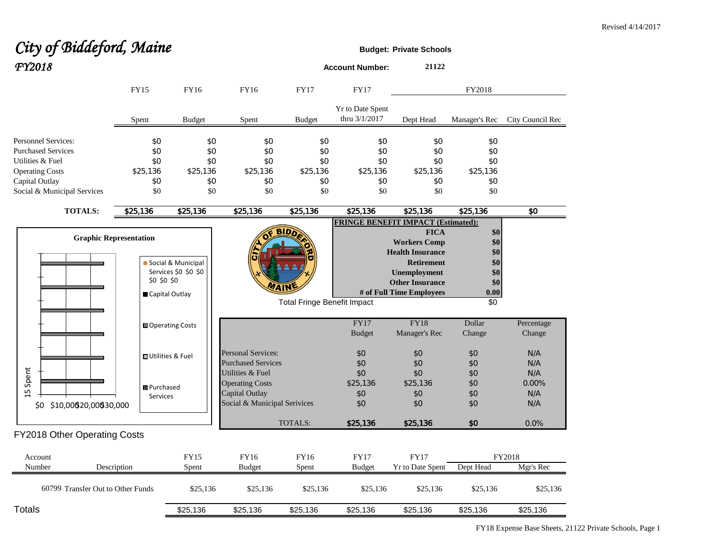## City of Biddeford, Maine *FY2018* **Account Number: <sup>21122</sup>**

|                                   |                           | <b>FY15</b>        | <b>FY16</b>                                           | <b>FY16</b>                  | <b>FY17</b>   | <b>FY17</b>                              | FY2018                                    |               |                  |
|-----------------------------------|---------------------------|--------------------|-------------------------------------------------------|------------------------------|---------------|------------------------------------------|-------------------------------------------|---------------|------------------|
|                                   |                           | Spent              | <b>Budget</b>                                         | Spent                        | <b>Budget</b> | <b>Yr to Date Spent</b><br>thru 3/1/2017 | Dept Head                                 | Manager's Rec | City Council Rec |
| <b>Personnel Services:</b>        |                           | \$0                | \$0                                                   | \$0                          | \$0           | \$0                                      | \$0                                       | \$0           |                  |
| <b>Purchased Services</b>         |                           | \$0                | \$0                                                   | \$0                          | \$0           | \$0                                      | \$0                                       | \$0           |                  |
| Utilities & Fuel                  |                           | \$0                | \$0                                                   | \$0                          | \$0           | \$0                                      | \$0                                       | \$0           |                  |
| <b>Operating Costs</b>            |                           | \$25,136           | \$25,136                                              | \$25,136                     | \$25,136      | \$25,136                                 | \$25,136                                  | \$25,136      |                  |
| Capital Outlay                    |                           | \$0                | \$0                                                   | \$0                          | \$0           | \$0                                      | \$0                                       | \$0           |                  |
| Social & Municipal Services       |                           | \$0                | \$0                                                   | \$0                          | \$0           | \$0                                      | \$0                                       | \$0           |                  |
| <b>TOTALS:</b>                    |                           | \$25,136           | \$25,136                                              | \$25,136                     | \$25,136      | \$25,136                                 | \$25,136                                  | \$25,136      | $\sqrt{50}$      |
|                                   |                           |                    |                                                       |                              |               |                                          | <b>FRINGE BENEFIT IMPACT (Estimated):</b> |               |                  |
|                                   |                           |                    |                                                       |                              | <b>BIDD</b>   |                                          | <b>FICA</b>                               | \$0           |                  |
| <b>Graphic Representation</b>     |                           |                    |                                                       |                              |               |                                          | <b>Workers Comp</b>                       | \$0           |                  |
|                                   |                           |                    |                                                       |                              |               |                                          | <b>Health Insurance</b>                   | \$0           |                  |
|                                   |                           |                    | Social & Municipal                                    |                              |               |                                          | <b>Retirement</b>                         | \$0           |                  |
|                                   |                           |                    | Services \$0 \$0 \$0                                  |                              |               |                                          | Unemployment                              | \$0           |                  |
|                                   |                           | \$0 \$0 \$0        |                                                       |                              | <b>MAIN</b>   |                                          | <b>Other Insurance</b>                    | \$0           |                  |
|                                   |                           | Capital Outlay     |                                                       |                              |               |                                          | # of Full Time Employees                  | 0.00          |                  |
|                                   |                           |                    | $\overline{50}$<br><b>Total Fringe Benefit Impact</b> |                              |               |                                          |                                           |               |                  |
|                                   |                           |                    | <b>■ Operating Costs</b>                              |                              |               | FY17                                     | <b>FY18</b>                               | Dollar        | Percentage       |
|                                   |                           |                    |                                                       |                              |               | <b>Budget</b>                            | Manager's Rec                             | Change        | Change           |
|                                   |                           |                    |                                                       | <b>Personal Services:</b>    |               | \$0                                      | \$0                                       | \$0           | N/A              |
|                                   | <b>□</b> Utilities & Fuel |                    |                                                       | <b>Purchased Services</b>    |               | \$0                                      | \$0                                       | \$0           | N/A              |
| Spent                             |                           |                    |                                                       | <b>Utilities &amp; Fuel</b>  |               | \$0                                      | \$0                                       | \$0           | N/A              |
|                                   |                           |                    |                                                       | <b>Operating Costs</b>       |               | \$25,136                                 | \$25,136                                  | \$0           | 0.00%            |
| 15                                |                           | <b>B</b> Purchased |                                                       | Capital Outlay               |               | \$0                                      | \$0                                       | \$0           | N/A              |
| \$10,000 20,000 30,000            |                           | <b>Services</b>    |                                                       | Social & Municipal Serivices |               | \$0                                      | \$0                                       | \$0           | N/A              |
| \$0                               |                           |                    |                                                       |                              |               |                                          |                                           |               |                  |
|                                   |                           |                    |                                                       |                              | TOTALS:       | \$25,136                                 | \$25,136                                  | \$0           | 0.0%             |
| FY2018 Other Operating Costs      |                           |                    |                                                       |                              |               |                                          |                                           |               |                  |
| Account                           |                           |                    | <b>FY15</b>                                           | <b>FY16</b>                  | <b>FY16</b>   | <b>FY17</b>                              | <b>FY17</b>                               |               | FY2018           |
| Number                            | Description               |                    | Spent                                                 | <b>Budget</b>                | Spent         | <b>Budget</b>                            | Yr to Date Spent                          | Dept Head     | Mgr's Rec        |
| 60799 Transfer Out to Other Funds |                           |                    | \$25,136                                              | \$25,136                     | \$25,136      | \$25,136                                 | \$25,136                                  | \$25,136      | \$25,136         |
| Totals                            |                           |                    | \$25,136                                              | \$25,136                     | \$25,136      | \$25,136                                 | \$25,136                                  | \$25,136      | \$25,136         |